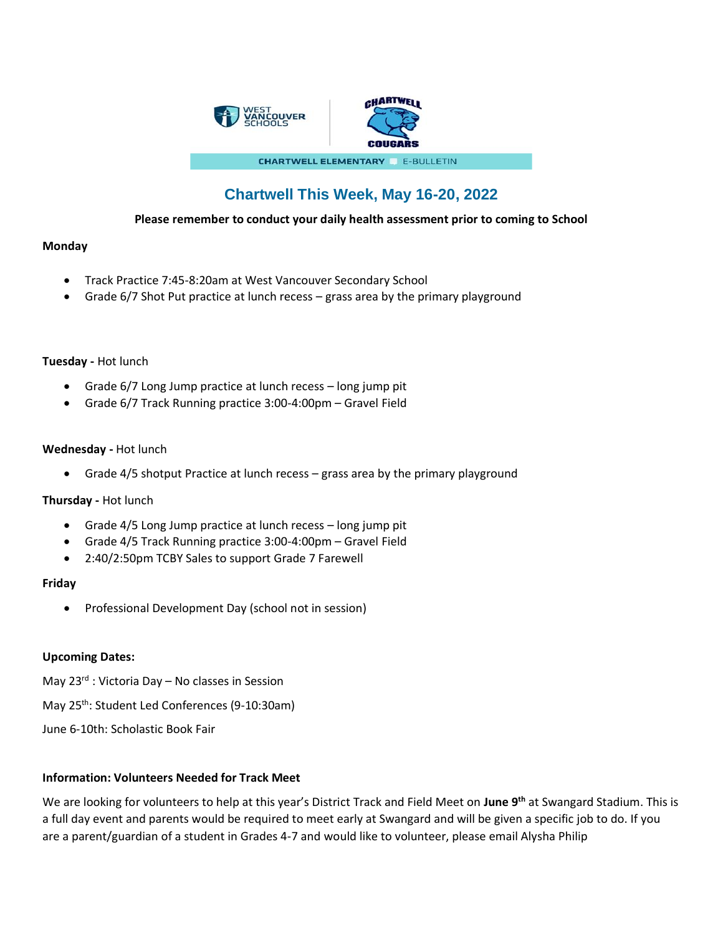

# **Chartwell This Week, May 16-20, 2022**

# **Please remember to conduct your daily health assessment prior to coming to School**

# **Monday**

- Track Practice 7:45-8:20am at West Vancouver Secondary School
- Grade 6/7 Shot Put practice at lunch recess grass area by the primary playground

# **Tuesday -** Hot lunch

- Grade 6/7 Long Jump practice at lunch recess long jump pit
- Grade 6/7 Track Running practice 3:00-4:00pm Gravel Field

# **Wednesday -** Hot lunch

• Grade 4/5 shotput Practice at lunch recess – grass area by the primary playground

# **Thursday -** Hot lunch

- Grade 4/5 Long Jump practice at lunch recess long jump pit
- Grade 4/5 Track Running practice 3:00-4:00pm Gravel Field
- 2:40/2:50pm TCBY Sales to support Grade 7 Farewell

# **Friday**

• Professional Development Day (school not in session)

# **Upcoming Dates:**

May 23<sup>rd</sup> : Victoria Day – No classes in Session

May 25<sup>th</sup>: Student Led Conferences (9-10:30am)

June 6-10th: Scholastic Book Fair

# **Information: Volunteers Needed for Track Meet**

We are looking for volunteers to help at this year's District Track and Field Meet on **June 9th** at Swangard Stadium. This is a full day event and parents would be required to meet early at Swangard and will be given a specific job to do. If you are a parent/guardian of a student in Grades 4-7 and would like to volunteer, please email Alysha Philip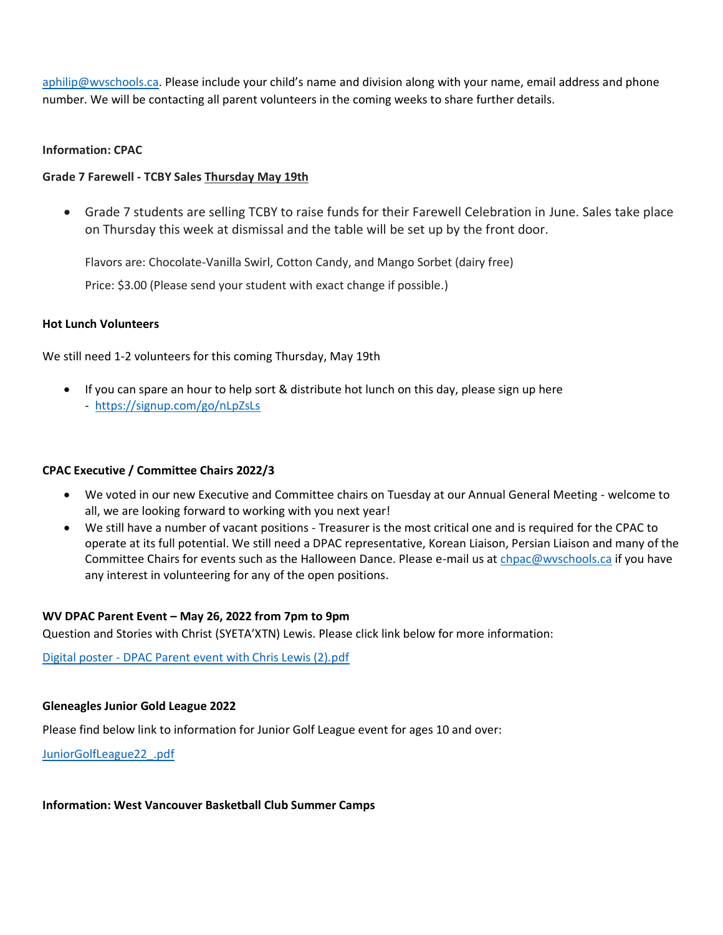[aphilip@wvschools.ca](mailto:aphilip@wvschools.ca). Please include your child's name and division along with your name, email address and phone number. We will be contacting all parent volunteers in the coming weeks to share further details.

#### **Information: CPAC**

# **Grade 7 Farewell - TCBY Sales Thursday May 19th**

• Grade 7 students are selling TCBY to raise funds for their Farewell Celebration in June. Sales take place on Thursday this week at dismissal and the table will be set up by the front door.

Flavors are: Chocolate-Vanilla Swirl, Cotton Candy, and Mango Sorbet (dairy free)

Price: \$3.00 (Please send your student with exact change if possible.)

# **Hot Lunch Volunteers**

We still need 1-2 volunteers for this coming Thursday, May 19th

• If you can spare an hour to help sort & distribute hot lunch on this day, please sign up here -<https://signup.com/go/nLpZsLs>

# **CPAC Executive / Committee Chairs 2022/3**

- We voted in our new Executive and Committee chairs on Tuesday at our Annual General Meeting welcome to all, we are looking forward to working with you next year!
- We still have a number of vacant positions Treasurer is the most critical one and is required for the CPAC to operate at its full potential. We still need a DPAC representative, Korean Liaison, Persian Liaison and many of the Committee Chairs for events such as the Halloween Dance. Please e-mail us a[t chpac@wvschools.ca](mailto:chpac@wvschools.ca) if you have any interest in volunteering for any of the open positions.

# **WV DPAC Parent Event – May 26, 2022 from 7pm to 9pm**

Question and Stories with Christ (SYETA'XTN) Lewis. Please click link below for more information:

Digital poster - [DPAC Parent event with Chris Lewis \(2\).pdf](file:///C:/Users/zxdanapour270/AppData/Local/Microsoft/Windows/INetCache/Content.Outlook/TEI66G8D/Digital%20poster%20-%20%20DPAC%20Parent%20event%20with%20Chris%20Lewis%20(2).pdf)

# **Gleneagles Junior Gold League 2022**

Please find below link to information for Junior Golf League event for ages 10 and over:

[JuniorGolfLeague22\\_.pdf](file:///C:/Users/zxdanapour270/AppData/Local/Microsoft/Windows/INetCache/Content.Outlook/TEI66G8D/JuniorGolfLeague22_.pdf)

# **Information: West Vancouver Basketball Club Summer Camps**